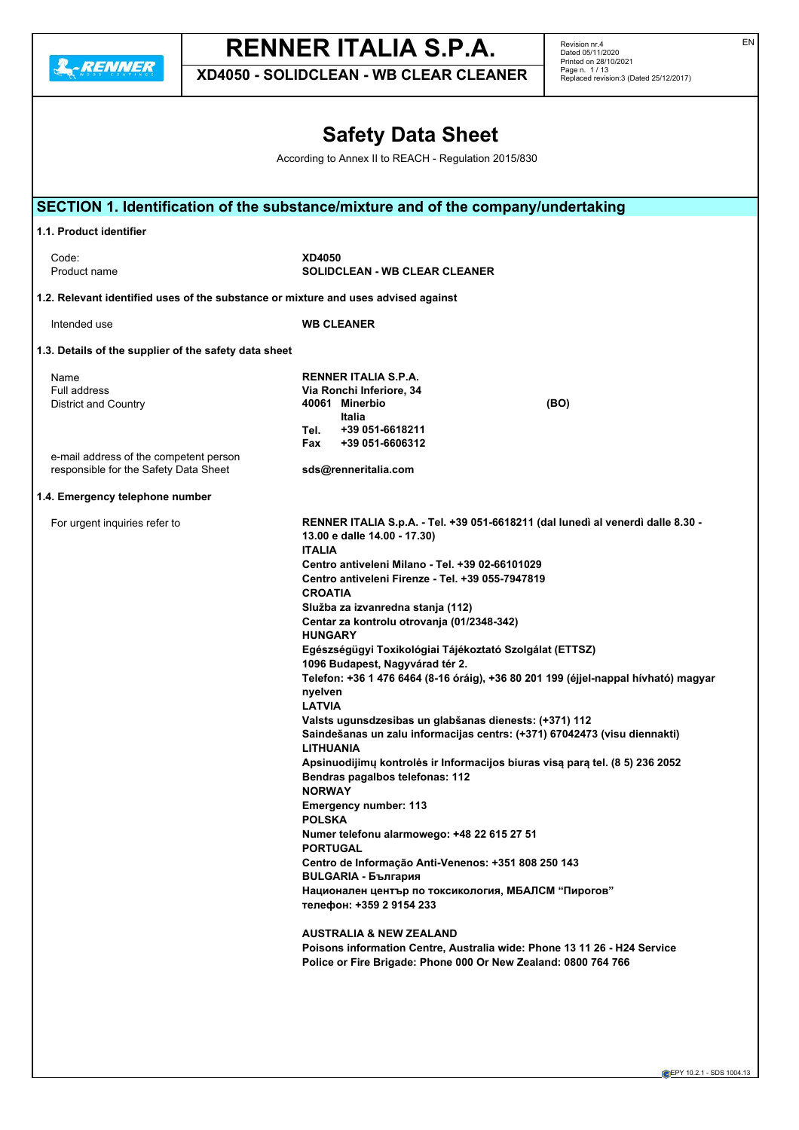**2.**-RENNER

# **RENNER ITALIA S.P.A.**

**XD4050 - SOLIDCLEAN - WB CLEAR CLEANER**

Revision nr.4 Dated 05/11/2020 Printed on 28/10/2021 Page n. 1 / 13 Replaced revision:3 (Dated 25/12/2017)

# **Safety Data Sheet**

According to Annex II to REACH - Regulation 2015/830

|                                                                                    | SECTION 1. Identification of the substance/mixture and of the company/undertaking                   |
|------------------------------------------------------------------------------------|-----------------------------------------------------------------------------------------------------|
|                                                                                    |                                                                                                     |
| 1.1. Product identifier                                                            |                                                                                                     |
| Code:                                                                              | XD4050                                                                                              |
| Product name                                                                       | <b>SOLIDCLEAN - WB CLEAR CLEANER</b>                                                                |
| 1.2. Relevant identified uses of the substance or mixture and uses advised against |                                                                                                     |
| Intended use                                                                       | <b>WB CLEANER</b>                                                                                   |
| 1.3. Details of the supplier of the safety data sheet                              |                                                                                                     |
| Name                                                                               | RENNER ITALIA S.P.A.                                                                                |
| Full address                                                                       | Via Ronchi Inferiore, 34                                                                            |
| <b>District and Country</b>                                                        | 40061 Minerbio<br>(BO)<br>Italia                                                                    |
|                                                                                    | +39 051-6618211<br>Tel.                                                                             |
|                                                                                    | +39 051-6606312<br>Fax                                                                              |
| e-mail address of the competent person                                             |                                                                                                     |
| responsible for the Safety Data Sheet                                              | sds@renneritalia.com                                                                                |
| 1.4. Emergency telephone number                                                    |                                                                                                     |
| For urgent inquiries refer to                                                      | RENNER ITALIA S.p.A. - Tel. +39 051-6618211 (dal lunedì al venerdì dalle 8.30 -                     |
|                                                                                    | 13.00 e dalle 14.00 - 17.30)                                                                        |
|                                                                                    | <b>ITALIA</b>                                                                                       |
|                                                                                    | Centro antiveleni Milano - Tel. +39 02-66101029<br>Centro antiveleni Firenze - Tel. +39 055-7947819 |
|                                                                                    | <b>CROATIA</b>                                                                                      |
|                                                                                    | Služba za izvanredna stanja (112)                                                                   |
|                                                                                    | Centar za kontrolu otrovanja (01/2348-342)                                                          |
|                                                                                    | <b>HUNGARY</b>                                                                                      |
|                                                                                    | Egészségügyi Toxikológiai Tájékoztató Szolgálat (ETTSZ)                                             |
|                                                                                    | 1096 Budapest, Nagyvárad tér 2.                                                                     |
|                                                                                    | Telefon: +36 1 476 6464 (8-16 óráig), +36 80 201 199 (éjjel-nappal hívható) magyar<br>nyelven       |
|                                                                                    | <b>LATVIA</b>                                                                                       |
|                                                                                    | Valsts ugunsdzesibas un glabšanas dienests: (+371) 112                                              |
|                                                                                    | Saindešanas un zalu informacijas centrs: (+371) 67042473 (visu diennakti)                           |
|                                                                                    | <b>LITHUANIA</b>                                                                                    |
|                                                                                    | Apsinuodijimų kontrolės ir Informacijos biuras visą parą tel. (8 5) 236 2052                        |
|                                                                                    | Bendras pagalbos telefonas: 112<br><b>NORWAY</b>                                                    |
|                                                                                    | <b>Emergency number: 113</b>                                                                        |
|                                                                                    | <b>POLSKA</b>                                                                                       |
|                                                                                    | Numer telefonu alarmowego: +48 22 615 27 51                                                         |
|                                                                                    | <b>PORTUGAL</b>                                                                                     |
|                                                                                    | Centro de Informação Anti-Venenos: +351 808 250 143                                                 |
|                                                                                    | <b>BULGARIA - България</b>                                                                          |
|                                                                                    | Национален център по токсикология, МБАЛСМ "Пирогов"<br>телефон: +359 2 9154 233                     |
|                                                                                    | <b>AUSTRALIA &amp; NEW ZEALAND</b>                                                                  |
|                                                                                    | Poisons information Centre, Australia wide: Phone 13 11 26 - H24 Service                            |
|                                                                                    | Police or Fire Brigade: Phone 000 Or New Zealand: 0800 764 766                                      |
|                                                                                    |                                                                                                     |
|                                                                                    |                                                                                                     |

EN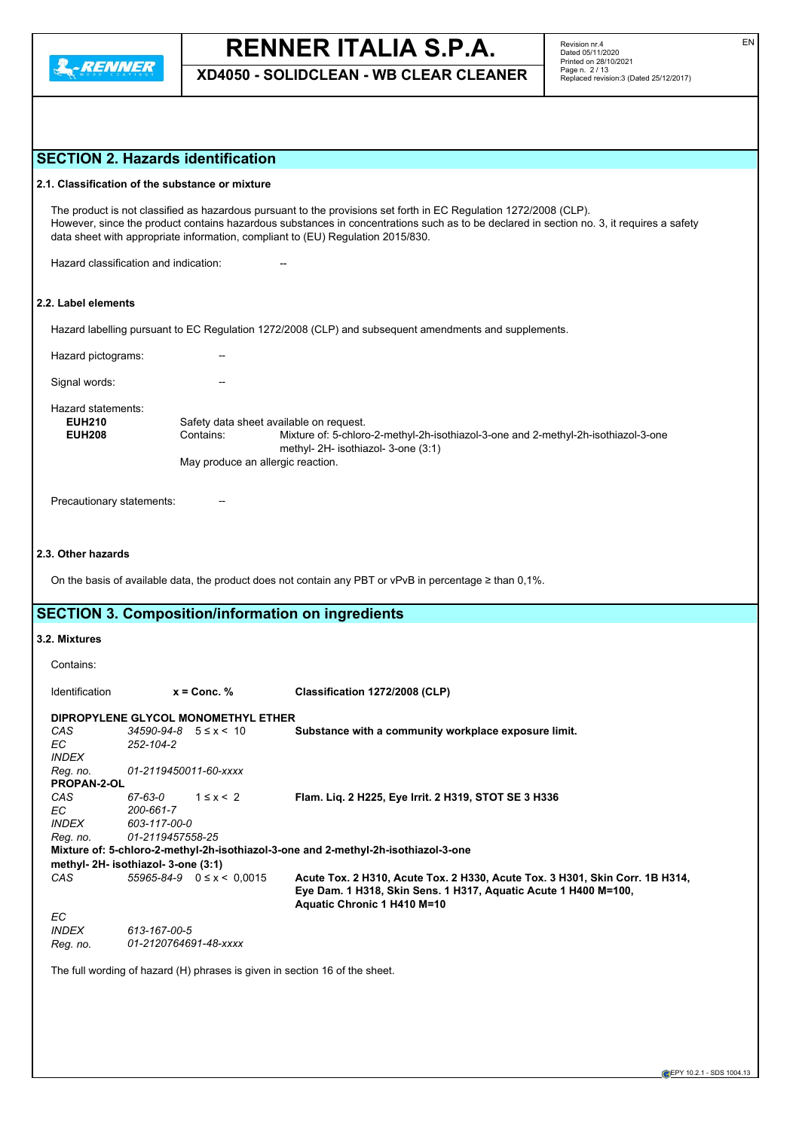

**XD4050 - SOLIDCLEAN - WB CLEAR CLEANER**

# **SECTION 2. Hazards identification**

|                                                      | SECTION 2. Hazards identification                                                         |                                                                                                                                                                                                                                                                                                                                                  |
|------------------------------------------------------|-------------------------------------------------------------------------------------------|--------------------------------------------------------------------------------------------------------------------------------------------------------------------------------------------------------------------------------------------------------------------------------------------------------------------------------------------------|
|                                                      | 2.1. Classification of the substance or mixture                                           |                                                                                                                                                                                                                                                                                                                                                  |
|                                                      |                                                                                           | The product is not classified as hazardous pursuant to the provisions set forth in EC Regulation 1272/2008 (CLP).<br>However, since the product contains hazardous substances in concentrations such as to be declared in section no. 3, it requires a safety<br>data sheet with appropriate information, compliant to (EU) Regulation 2015/830. |
|                                                      | Hazard classification and indication:                                                     |                                                                                                                                                                                                                                                                                                                                                  |
| 2.2. Label elements                                  |                                                                                           |                                                                                                                                                                                                                                                                                                                                                  |
|                                                      |                                                                                           | Hazard labelling pursuant to EC Regulation 1272/2008 (CLP) and subsequent amendments and supplements.                                                                                                                                                                                                                                            |
| Hazard pictograms:                                   |                                                                                           |                                                                                                                                                                                                                                                                                                                                                  |
| Signal words:                                        |                                                                                           |                                                                                                                                                                                                                                                                                                                                                  |
| Hazard statements:<br><b>EUH210</b><br><b>EUH208</b> | Safety data sheet available on request.<br>Contains:<br>May produce an allergic reaction. | Mixture of: 5-chloro-2-methyl-2h-isothiazol-3-one and 2-methyl-2h-isothiazol-3-one<br>methyl- 2H- isothiazol- 3-one (3:1)                                                                                                                                                                                                                        |
| Precautionary statements:                            |                                                                                           |                                                                                                                                                                                                                                                                                                                                                  |
| 2.3. Other hazards                                   |                                                                                           |                                                                                                                                                                                                                                                                                                                                                  |
|                                                      |                                                                                           | On the basis of available data, the product does not contain any PBT or vPvB in percentage $\geq$ than 0,1%.                                                                                                                                                                                                                                     |
|                                                      | <b>SECTION 3. Composition/information on ingredients</b>                                  |                                                                                                                                                                                                                                                                                                                                                  |
| 3.2. Mixtures                                        |                                                                                           |                                                                                                                                                                                                                                                                                                                                                  |
| Contains:                                            |                                                                                           |                                                                                                                                                                                                                                                                                                                                                  |
| Identification                                       | $x =$ Conc. %                                                                             | Classification 1272/2008 (CLP)                                                                                                                                                                                                                                                                                                                   |
|                                                      | DIPROPYLENE GLYCOL MONOMETHYL ETHER                                                       |                                                                                                                                                                                                                                                                                                                                                  |
| CAS                                                  | $34590 - 94 - 8$ $5 \le x \le 10$                                                         | Substance with a community workplace exposure limit.                                                                                                                                                                                                                                                                                             |
| ЕC                                                   | 252-104-2                                                                                 |                                                                                                                                                                                                                                                                                                                                                  |
| INDEX                                                |                                                                                           |                                                                                                                                                                                                                                                                                                                                                  |
| Reg. no.                                             | 01-2119450011-60-xxxx                                                                     |                                                                                                                                                                                                                                                                                                                                                  |
| PROPAN-2-OL                                          |                                                                                           |                                                                                                                                                                                                                                                                                                                                                  |
| CAS<br>EC                                            | $1 \leq x \leq 2$<br>67-63-0<br>200-661-7                                                 | Flam. Liq. 2 H225, Eye Irrit. 2 H319, STOT SE 3 H336                                                                                                                                                                                                                                                                                             |
| <b>INDEX</b>                                         | 603-117-00-0                                                                              |                                                                                                                                                                                                                                                                                                                                                  |
| Reg. no.                                             | 01-2119457558-25                                                                          |                                                                                                                                                                                                                                                                                                                                                  |
|                                                      |                                                                                           | Mixture of: 5-chloro-2-methyl-2h-isothiazol-3-one and 2-methyl-2h-isothiazol-3-one                                                                                                                                                                                                                                                               |
|                                                      | methyl-2H-isothiazol-3-one (3:1)                                                          |                                                                                                                                                                                                                                                                                                                                                  |
| CAS                                                  | $55965 - 84 - 9$ $0 \le x < 0.0015$                                                       | Acute Tox. 2 H310, Acute Tox. 2 H330, Acute Tox. 3 H301, Skin Corr. 1B H314,<br>Eye Dam. 1 H318, Skin Sens. 1 H317, Aquatic Acute 1 H400 M=100,<br>Aquatic Chronic 1 H410 M=10                                                                                                                                                                   |
| ЕC                                                   |                                                                                           |                                                                                                                                                                                                                                                                                                                                                  |
| <b>INDEX</b>                                         | 613-167-00-5                                                                              |                                                                                                                                                                                                                                                                                                                                                  |
| Reg. no.                                             | 01-2120764691-48-xxxx                                                                     |                                                                                                                                                                                                                                                                                                                                                  |
|                                                      | The full wording of hazard (H) phrases is given in section 16 of the sheet.               |                                                                                                                                                                                                                                                                                                                                                  |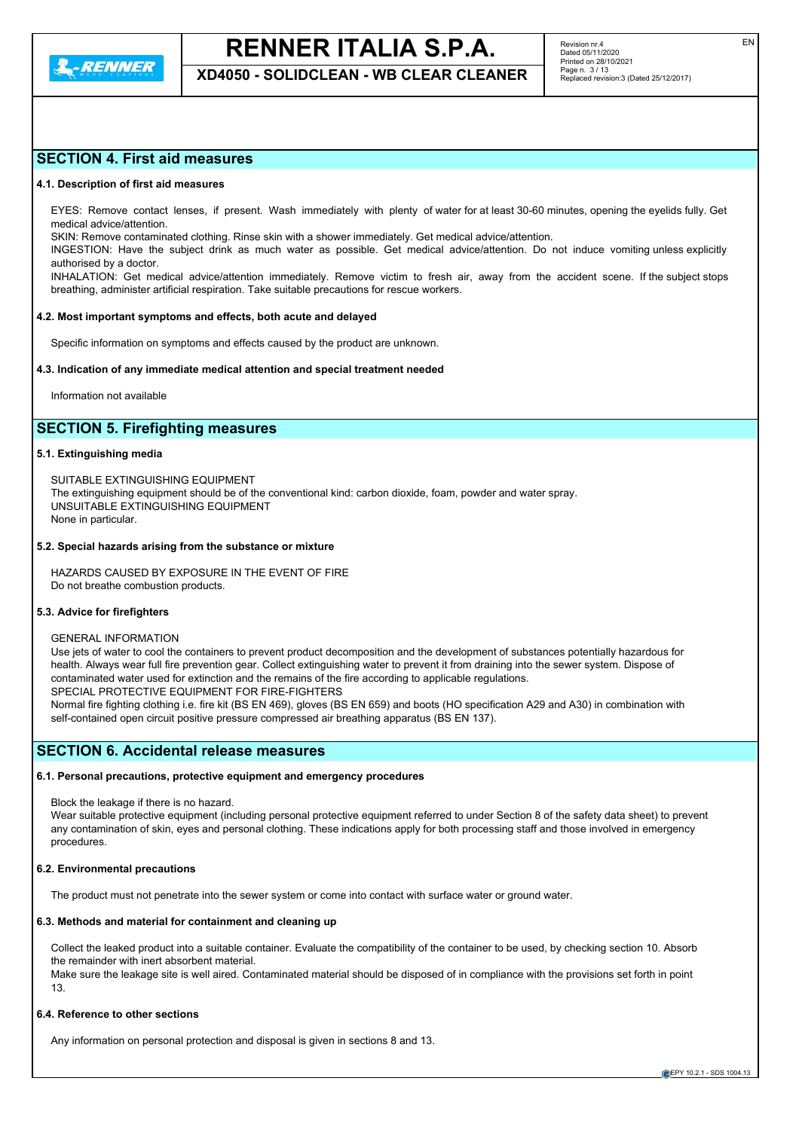

**XD4050 - SOLIDCLEAN - WB CLEAR CLEANER**

# **SECTION 4. First aid measures**

#### **4.1. Description of first aid measures**

EYES: Remove contact lenses, if present. Wash immediately with plenty of water for at least 30-60 minutes, opening the eyelids fully. Get medical advice/attention.

SKIN: Remove contaminated clothing. Rinse skin with a shower immediately. Get medical advice/attention.

INGESTION: Have the subject drink as much water as possible. Get medical advice/attention. Do not induce vomiting unless explicitly authorised by a doctor.

INHALATION: Get medical advice/attention immediately. Remove victim to fresh air, away from the accident scene. If the subject stops breathing, administer artificial respiration. Take suitable precautions for rescue workers.

# **4.2. Most important symptoms and effects, both acute and delayed**

Specific information on symptoms and effects caused by the product are unknown.

#### **4.3. Indication of any immediate medical attention and special treatment needed**

Information not available

# **SECTION 5. Firefighting measures**

#### **5.1. Extinguishing media**

SUITABLE EXTINGUISHING EQUIPMENT The extinguishing equipment should be of the conventional kind: carbon dioxide, foam, powder and water spray. UNSUITABLE EXTINGUISHING EQUIPMENT None in particular.

#### **5.2. Special hazards arising from the substance or mixture**

HAZARDS CAUSED BY EXPOSURE IN THE EVENT OF FIRE Do not breathe combustion products.

#### **5.3. Advice for firefighters**

#### GENERAL INFORMATION

Use jets of water to cool the containers to prevent product decomposition and the development of substances potentially hazardous for health. Always wear full fire prevention gear. Collect extinguishing water to prevent it from draining into the sewer system. Dispose of contaminated water used for extinction and the remains of the fire according to applicable regulations. SPECIAL PROTECTIVE EQUIPMENT FOR FIRE-FIGHTERS Normal fire fighting clothing i.e. fire kit (BS EN 469), gloves (BS EN 659) and boots (HO specification A29 and A30) in combination with

self-contained open circuit positive pressure compressed air breathing apparatus (BS EN 137).

# **SECTION 6. Accidental release measures**

### **6.1. Personal precautions, protective equipment and emergency procedures**

Block the leakage if there is no hazard.

Wear suitable protective equipment (including personal protective equipment referred to under Section 8 of the safety data sheet) to prevent any contamination of skin, eyes and personal clothing. These indications apply for both processing staff and those involved in emergency procedures.

#### **6.2. Environmental precautions**

The product must not penetrate into the sewer system or come into contact with surface water or ground water.

# **6.3. Methods and material for containment and cleaning up**

Collect the leaked product into a suitable container. Evaluate the compatibility of the container to be used, by checking section 10. Absorb the remainder with inert absorbent material.

Make sure the leakage site is well aired. Contaminated material should be disposed of in compliance with the provisions set forth in point 13.

# **6.4. Reference to other sections**

Any information on personal protection and disposal is given in sections 8 and 13.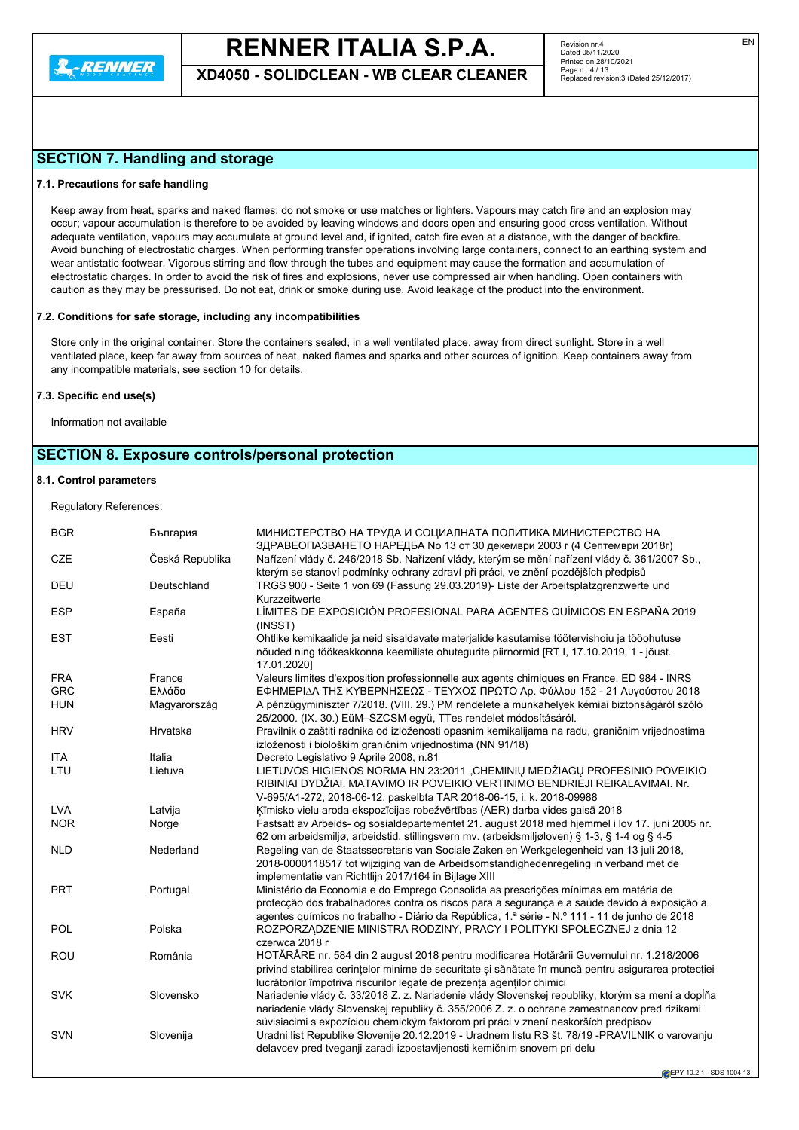

**XD4050 - SOLIDCLEAN - WB CLEAR CLEANER**

Revision nr.4 Dated 05/11/2020 Printed on 28/10/2021 Page n. 4 / 13 Replaced revision:3 (Dated 25/12/2017)

# **SECTION 7. Handling and storage**

# **7.1. Precautions for safe handling**

Keep away from heat, sparks and naked flames; do not smoke or use matches or lighters. Vapours may catch fire and an explosion may occur; vapour accumulation is therefore to be avoided by leaving windows and doors open and ensuring good cross ventilation. Without adequate ventilation, vapours may accumulate at ground level and, if ignited, catch fire even at a distance, with the danger of backfire. Avoid bunching of electrostatic charges. When performing transfer operations involving large containers, connect to an earthing system and wear antistatic footwear. Vigorous stirring and flow through the tubes and equipment may cause the formation and accumulation of electrostatic charges. In order to avoid the risk of fires and explosions, never use compressed air when handling. Open containers with caution as they may be pressurised. Do not eat, drink or smoke during use. Avoid leakage of the product into the environment.

### **7.2. Conditions for safe storage, including any incompatibilities**

Store only in the original container. Store the containers sealed, in a well ventilated place, away from direct sunlight. Store in a well ventilated place, keep far away from sources of heat, naked flames and sparks and other sources of ignition. Keep containers away from any incompatible materials, see section 10 for details.

#### **7.3. Specific end use(s)**

Information not available

# **SECTION 8. Exposure controls/personal protection**

# **8.1. Control parameters**

Regulatory References:

| <b>BGR</b> | България        | МИНИСТЕРСТВО НА ТРУДА И СОЦИАЛНАТА ПОЛИТИКА МИНИСТЕРСТВО НА<br>ЗДРАВЕОПАЗВАНЕТО НАРЕДБА No 13 от 30 декември 2003 г (4 Септември 2018г)                                                                                                                                                |
|------------|-----------------|----------------------------------------------------------------------------------------------------------------------------------------------------------------------------------------------------------------------------------------------------------------------------------------|
| <b>CZE</b> | Česká Republika | Nařízení vlády č. 246/2018 Sb. Nařízení vlády, kterým se mění nařízení vlády č. 361/2007 Sb.,<br>kterým se stanoví podmínky ochrany zdraví při práci, ve znění pozdějších předpisů                                                                                                     |
| <b>DEU</b> | Deutschland     | TRGS 900 - Seite 1 von 69 (Fassung 29.03.2019)- Liste der Arbeitsplatzgrenzwerte und<br>Kurzzeitwerte                                                                                                                                                                                  |
| <b>ESP</b> | España          | LÍMITES DE EXPOSICIÓN PROFESIONAL PARA AGENTES QUÍMICOS EN ESPAÑA 2019<br>(INSST)                                                                                                                                                                                                      |
| <b>EST</b> | Eesti           | Ohtlike kemikaalide ja neid sisaldavate materjalide kasutamise töötervishoiu ja tööohutuse<br>nõuded ning töökeskkonna keemiliste ohutegurite piirnormid [RT I, 17.10.2019, 1 - jõust.<br>17.01.2020]                                                                                  |
| <b>FRA</b> | France          | Valeurs limites d'exposition professionnelle aux agents chimiques en France. ED 984 - INRS                                                                                                                                                                                             |
| <b>GRC</b> | Ελλάδα          | ΕΦΗΜΕΡΙΔΑ ΤΗΣ ΚΥΒΕΡΝΗΣΕΩΣ - ΤΕΥΧΟΣ ΠΡΩΤΟ Αρ. Φύλλου 152 - 21 Αυγούστου 2018                                                                                                                                                                                                            |
| <b>HUN</b> | Magyarország    | A pénzügyminiszter 7/2018. (VIII. 29.) PM rendelete a munkahelyek kémiai biztonságáról szóló<br>25/2000. (IX. 30.) EüM-SZCSM együ, TTes rendelet módosításáról.                                                                                                                        |
| <b>HRV</b> | Hrvatska        | Pravilnik o zaštiti radnika od izloženosti opasnim kemikalijama na radu, graničnim vrijednostima<br>izloženosti i biološkim graničnim vrijednostima (NN 91/18)                                                                                                                         |
| <b>ITA</b> | Italia          | Decreto Legislativo 9 Aprile 2008, n.81                                                                                                                                                                                                                                                |
| LTU        | Lietuva         | LIETUVOS HIGIENOS NORMA HN 23:2011 "CHEMINIŲ MEDŽIAGŲ PROFESINIO POVEIKIO<br>RIBINIAI DYDŽIAI. MATAVIMO IR POVEIKIO VERTINIMO BENDRIEJI REIKALAVIMAI. Nr.<br>V-695/A1-272, 2018-06-12, paskelbta TAR 2018-06-15, i. k. 2018-09988                                                      |
| <b>LVA</b> | Latvija         | Kīmisko vielu aroda ekspozīcijas robežvērtības (AER) darba vides gaisā 2018                                                                                                                                                                                                            |
| <b>NOR</b> | Norge           | Fastsatt av Arbeids- og sosialdepartementet 21. august 2018 med hjemmel i lov 17. juni 2005 nr.<br>62 om arbeidsmiljø, arbeidstid, stillingsvern mv. (arbeidsmiljøloven) § 1-3, § 1-4 og § 4-5                                                                                         |
| <b>NLD</b> | Nederland       | Regeling van de Staatssecretaris van Sociale Zaken en Werkgelegenheid van 13 juli 2018,<br>2018-0000118517 tot wijziging van de Arbeidsomstandighedenregeling in verband met de<br>implementatie van Richtlijn 2017/164 in Bijlage XIII                                                |
| <b>PRT</b> | Portugal        | Ministério da Economia e do Emprego Consolida as prescrições mínimas em matéria de<br>protecção dos trabalhadores contra os riscos para a segurança e a saúde devido à exposição a<br>agentes químicos no trabalho - Diário da República, 1.ª série - N.º 111 - 11 de junho de 2018    |
| <b>POL</b> | Polska          | ROZPORZĄDZENIE MINISTRA RODZINY, PRACY I POLITYKI SPOŁECZNEJ z dnia 12<br>czerwca 2018 r                                                                                                                                                                                               |
| <b>ROU</b> | România         | HOTĂRÂRE nr. 584 din 2 august 2018 pentru modificarea Hotărârii Guvernului nr. 1.218/2006<br>privind stabilirea cerințelor minime de securitate și sănătate în muncă pentru asigurarea protecției<br>lucrătorilor împotriva riscurilor legate de prezența agenților chimici            |
| <b>SVK</b> | Slovensko       | Nariadenie vlády č. 33/2018 Z. z. Nariadenie vlády Slovenskej republiky, ktorým sa mení a dopĺňa<br>nariadenie vlády Slovenskej republiky č. 355/2006 Z. z. o ochrane zamestnancov pred rizikami<br>súvisiacimi s expozíciou chemickým faktorom pri práci v znení neskorších predpisov |
| <b>SVN</b> | Slovenija       | Uradni list Republike Slovenije 20.12.2019 - Uradnem listu RS št. 78/19 -PRAVILNIK o varovanju<br>delavcev pred tveganji zaradi izpostavljenosti kemičnim snovem pri delu                                                                                                              |
|            |                 |                                                                                                                                                                                                                                                                                        |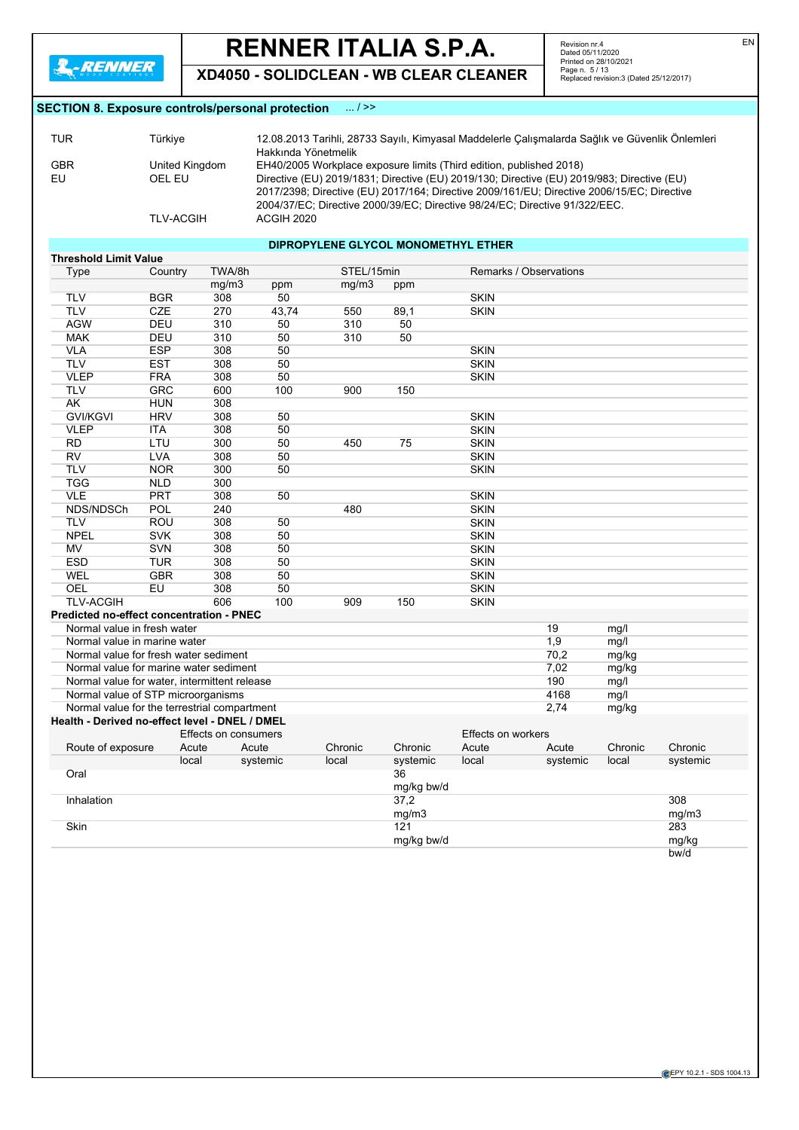**XD4050 - SOLIDCLEAN - WB CLEAR CLEANER**

Revision nr.4 Dated 05/11/2020 Printed on 28/10/2021 Page n. 5 / 13 Replaced revision:3 (Dated 25/12/2017)

# **SECTION 8. Exposure controls/personal protection** ... / >>

| TUR | Türkive          | 12.08.2013 Tarihli, 28733 Sayılı, Kimyasal Maddelerle Çalışmalarda Sağlık ve Güvenlik Önlemleri |
|-----|------------------|-------------------------------------------------------------------------------------------------|
|     |                  | Hakkında Yönetmelik                                                                             |
| GBR | United Kingdom   | EH40/2005 Workplace exposure limits (Third edition, published 2018)                             |
| EU  | OEL EU           | Directive (EU) 2019/1831; Directive (EU) 2019/130; Directive (EU) 2019/983; Directive (EU)      |
|     |                  | 2017/2398; Directive (EU) 2017/164; Directive 2009/161/EU; Directive 2006/15/EC; Directive      |
|     |                  | 2004/37/EC; Directive 2000/39/EC; Directive 98/24/EC; Directive 91/322/EEC.                     |
|     | <b>TLV-ACGIH</b> | ACGIH 2020                                                                                      |

# **DIPROPYLENE GLYCOL MONOMETHYL ETHER**

| <b>Threshold Limit Value</b>                    |            |                      |          |            |            |                    |                        |         |          |
|-------------------------------------------------|------------|----------------------|----------|------------|------------|--------------------|------------------------|---------|----------|
| <b>Type</b>                                     | Country    | TWA/8h               |          | STEL/15min |            |                    | Remarks / Observations |         |          |
|                                                 |            | mg/m3                | ppm      | mg/m3      | ppm        |                    |                        |         |          |
| <b>TLV</b>                                      | <b>BGR</b> | 308                  | 50       |            |            | <b>SKIN</b>        |                        |         |          |
| <b>TLV</b>                                      | <b>CZE</b> | 270                  | 43,74    | 550        | 89,1       | <b>SKIN</b>        |                        |         |          |
| <b>AGW</b>                                      | <b>DEU</b> | 310                  | 50       | 310        | 50         |                    |                        |         |          |
| <b>MAK</b>                                      | DEU        | 310                  | 50       | 310        | 50         |                    |                        |         |          |
| <b>VLA</b>                                      | <b>ESP</b> | 308                  | 50       |            |            | <b>SKIN</b>        |                        |         |          |
| <b>TLV</b>                                      | <b>EST</b> | 308                  | 50       |            |            | <b>SKIN</b>        |                        |         |          |
| <b>VLEP</b>                                     | <b>FRA</b> | 308                  | 50       |            |            | <b>SKIN</b>        |                        |         |          |
| <b>TLV</b>                                      | <b>GRC</b> | 600                  | 100      | 900        | 150        |                    |                        |         |          |
| <b>AK</b>                                       | <b>HUN</b> | 308                  |          |            |            |                    |                        |         |          |
| <b>GVI/KGVI</b>                                 | <b>HRV</b> | 308                  | 50       |            |            | <b>SKIN</b>        |                        |         |          |
| <b>VLEP</b>                                     | <b>ITA</b> | 308                  | 50       |            |            | <b>SKIN</b>        |                        |         |          |
| <b>RD</b>                                       | LTU        | 300                  | 50       | 450        | 75         | <b>SKIN</b>        |                        |         |          |
| <b>RV</b>                                       | <b>LVA</b> | 308                  | 50       |            |            | <b>SKIN</b>        |                        |         |          |
| <b>TLV</b>                                      | <b>NOR</b> | 300                  | 50       |            |            | <b>SKIN</b>        |                        |         |          |
| <b>TGG</b>                                      | <b>NLD</b> | 300                  |          |            |            |                    |                        |         |          |
| <b>VLE</b>                                      | PRT        | 308                  | 50       |            |            | <b>SKIN</b>        |                        |         |          |
| NDS/NDSCh                                       | POL        | 240                  |          | 480        |            | <b>SKIN</b>        |                        |         |          |
| <b>TLV</b>                                      | <b>ROU</b> | 308                  | 50       |            |            | <b>SKIN</b>        |                        |         |          |
| <b>NPEL</b>                                     | <b>SVK</b> | 308                  | 50       |            |            | <b>SKIN</b>        |                        |         |          |
| <b>MV</b>                                       | <b>SVN</b> | 308                  | 50       |            |            | <b>SKIN</b>        |                        |         |          |
| <b>ESD</b>                                      | <b>TUR</b> | 308                  | 50       |            |            | <b>SKIN</b>        |                        |         |          |
| WEL                                             | <b>GBR</b> | 308                  | 50       |            |            | <b>SKIN</b>        |                        |         |          |
| <b>OEL</b>                                      | EU         | 308                  | 50       |            |            | <b>SKIN</b>        |                        |         |          |
| <b>TLV-ACGIH</b>                                |            | 606                  | 100      | 909        | 150        | <b>SKIN</b>        |                        |         |          |
| <b>Predicted no-effect concentration - PNEC</b> |            |                      |          |            |            |                    |                        |         |          |
| Normal value in fresh water                     |            |                      |          |            |            |                    | 19                     | mg/l    |          |
| Normal value in marine water                    |            |                      |          |            |            |                    | 1,9                    | mg/l    |          |
| Normal value for fresh water sediment           |            |                      |          |            |            |                    | 70,2                   | mg/kg   |          |
| Normal value for marine water sediment          |            |                      |          |            |            |                    | 7,02                   | mg/kg   |          |
| Normal value for water, intermittent release    |            |                      |          |            |            |                    | 190                    | mg/l    |          |
| Normal value of STP microorganisms              |            |                      |          |            |            |                    | 4168                   | mq/     |          |
| Normal value for the terrestrial compartment    |            |                      |          |            |            |                    | 2,74                   | mg/kg   |          |
| Health - Derived no-effect level - DNEL / DMEL  |            |                      |          |            |            |                    |                        |         |          |
|                                                 |            | Effects on consumers |          |            |            | Effects on workers |                        |         |          |
| Route of exposure                               | Acute      | Acute                |          | Chronic    | Chronic    | Acute              | Acute                  | Chronic | Chronic  |
|                                                 | local      |                      | systemic | local      | systemic   | local              | systemic               | local   | systemic |
| Oral                                            |            |                      |          |            | 36         |                    |                        |         |          |
|                                                 |            |                      |          |            | mg/kg bw/d |                    |                        |         |          |
| Inhalation                                      |            |                      |          |            | 37,2       |                    |                        |         | 308      |
|                                                 |            |                      |          |            | mg/m3      |                    |                        |         | mg/m3    |
| Skin                                            |            |                      |          |            | 121        |                    |                        |         | 283      |
|                                                 |            |                      |          |            | mg/kg bw/d |                    |                        |         | mg/kg    |
|                                                 |            |                      |          |            |            |                    |                        |         | bw/d     |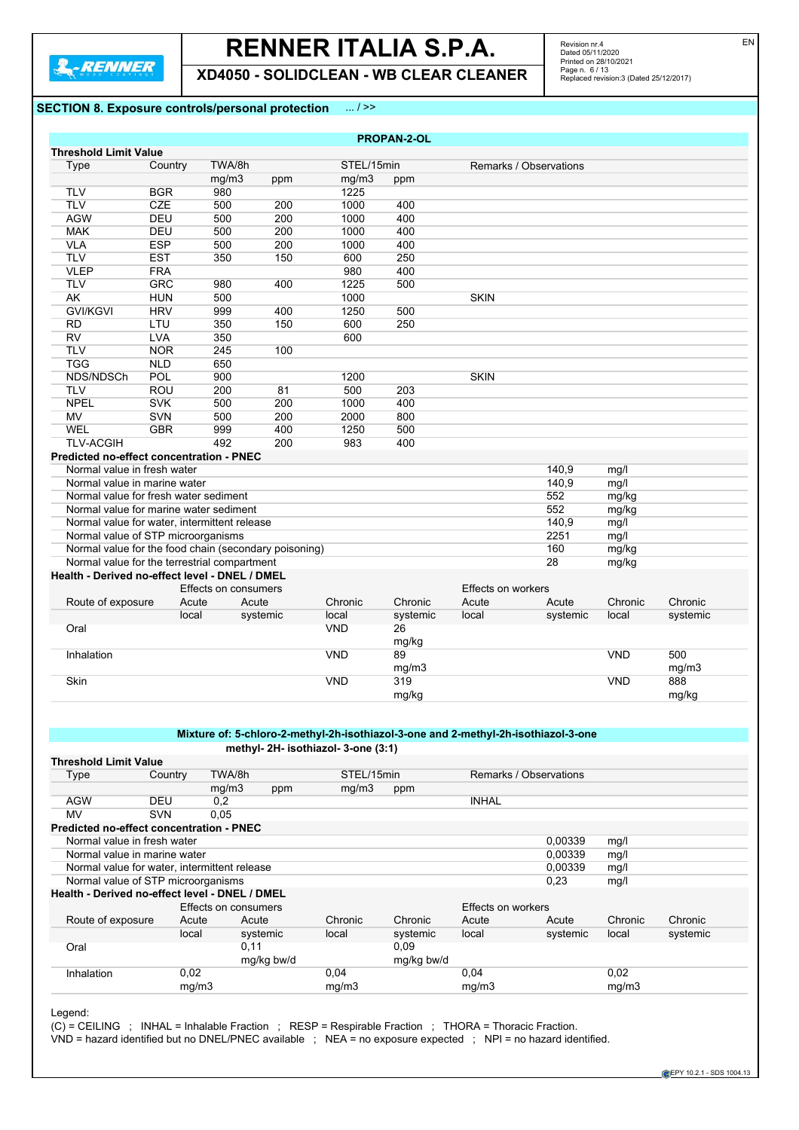**XD4050 - SOLIDCLEAN - WB CLEAR CLEANER**

Revision nr.4<br>Dated 05/11/2020<br>Printed on 28/10/2021<br>Page n. 6 / 13<br>Replaced revision:3 (Dated 25/12/2017)

# **SECTION 8. Exposure controls/personal protection** ... / >>

|                                                       |            |                      |          |            | <b>PROPAN-2-OL</b> |                        |          |            |          |
|-------------------------------------------------------|------------|----------------------|----------|------------|--------------------|------------------------|----------|------------|----------|
| <b>Threshold Limit Value</b>                          |            |                      |          |            |                    |                        |          |            |          |
| Type                                                  | Country    | TWA/8h               |          | STEL/15min |                    | Remarks / Observations |          |            |          |
|                                                       |            | mg/m3                | ppm      | mg/m3      | ppm                |                        |          |            |          |
| <b>TLV</b>                                            | <b>BGR</b> | 980                  |          | 1225       |                    |                        |          |            |          |
| <b>TLV</b>                                            | CZE        | 500                  | 200      | 1000       | 400                |                        |          |            |          |
| <b>AGW</b>                                            | DEU        | 500                  | 200      | 1000       | 400                |                        |          |            |          |
| <b>MAK</b>                                            | DEU        | 500                  | 200      | 1000       | 400                |                        |          |            |          |
| <b>VLA</b>                                            | <b>ESP</b> | 500                  | 200      | 1000       | 400                |                        |          |            |          |
| <b>TLV</b>                                            | <b>EST</b> | 350                  | 150      | 600        | 250                |                        |          |            |          |
| <b>VLEP</b>                                           | <b>FRA</b> |                      |          | 980        | 400                |                        |          |            |          |
| <b>TLV</b>                                            | <b>GRC</b> | 980                  | 400      | 1225       | 500                |                        |          |            |          |
| <b>AK</b>                                             | <b>HUN</b> | 500                  |          | 1000       |                    | <b>SKIN</b>            |          |            |          |
| <b>GVI/KGVI</b>                                       | <b>HRV</b> | 999                  | 400      | 1250       | 500                |                        |          |            |          |
| <b>RD</b>                                             | LTU        | 350                  | 150      | 600        | 250                |                        |          |            |          |
| RV                                                    | <b>LVA</b> | 350                  |          | 600        |                    |                        |          |            |          |
| <b>TLV</b>                                            | <b>NOR</b> | 245                  | 100      |            |                    |                        |          |            |          |
| <b>TGG</b>                                            | <b>NLD</b> | 650                  |          |            |                    |                        |          |            |          |
| NDS/NDSCh                                             | <b>POL</b> | 900                  |          | 1200       |                    | <b>SKIN</b>            |          |            |          |
| <b>TLV</b>                                            | <b>ROU</b> | 200                  | 81       | 500        | 203                |                        |          |            |          |
| <b>NPEL</b>                                           | <b>SVK</b> | 500                  | 200      | 1000       | 400                |                        |          |            |          |
| <b>MV</b>                                             | <b>SVN</b> | 500                  | 200      | 2000       | 800                |                        |          |            |          |
| <b>WEL</b>                                            | <b>GBR</b> | 999                  | 400      | 1250       | 500                |                        |          |            |          |
| <b>TLV-ACGIH</b>                                      |            | 492                  | 200      | 983        | 400                |                        |          |            |          |
| Predicted no-effect concentration - PNEC              |            |                      |          |            |                    |                        |          |            |          |
| Normal value in fresh water                           |            |                      |          |            |                    |                        | 140,9    | mg/l       |          |
| Normal value in marine water                          |            |                      |          |            |                    |                        | 140,9    | mg/l       |          |
| Normal value for fresh water sediment                 |            |                      |          |            |                    |                        | 552      | mg/kg      |          |
| Normal value for marine water sediment                |            |                      |          |            |                    |                        | 552      | mg/kg      |          |
| Normal value for water, intermittent release          |            |                      |          |            |                    |                        | 140,9    | mg/l       |          |
| Normal value of STP microorganisms                    |            |                      |          |            |                    |                        | 2251     | mg/l       |          |
| Normal value for the food chain (secondary poisoning) |            |                      |          |            |                    |                        | 160      | mg/kg      |          |
| Normal value for the terrestrial compartment          |            |                      |          |            |                    |                        | 28       | mg/kg      |          |
| Health - Derived no-effect level - DNEL / DMEL        |            |                      |          |            |                    |                        |          |            |          |
|                                                       |            | Effects on consumers |          |            |                    | Effects on workers     |          |            |          |
| Route of exposure                                     | Acute      | Acute                |          | Chronic    | Chronic            | Acute                  | Acute    | Chronic    | Chronic  |
|                                                       | local      |                      | systemic | local      | systemic           | local                  | systemic | local      | systemic |
| Oral                                                  |            |                      |          | <b>VND</b> | 26                 |                        |          |            |          |
|                                                       |            |                      |          |            | mg/kg              |                        |          |            |          |
| Inhalation                                            |            |                      |          | <b>VND</b> | 89                 |                        |          | <b>VND</b> | 500      |
|                                                       |            |                      |          |            | mg/m3              |                        |          |            | mg/m3    |
| Skin                                                  |            |                      |          | <b>VND</b> | 319                |                        |          | <b>VND</b> | 888      |
|                                                       |            |                      |          |            | mg/kg              |                        |          |            | mg/kg    |

# **Mixture of: 5-chloro-2-methyl-2h-isothiazol-3-one and 2-methyl-2h-isothiazol-3-one methyl- 2H- isothiazol- 3-one (3:1)**

| <b>Threshold Limit Value</b>                   |                                              |                      |            |            |            |                        |          |         |          |
|------------------------------------------------|----------------------------------------------|----------------------|------------|------------|------------|------------------------|----------|---------|----------|
| Type                                           | Country                                      | TWA/8h               |            | STEL/15min |            | Remarks / Observations |          |         |          |
|                                                |                                              | mg/m3                | ppm        | mq/m3      | ppm        |                        |          |         |          |
| <b>AGW</b>                                     | DEU                                          | 0,2                  |            |            |            | <b>INHAL</b>           |          |         |          |
| MV                                             | <b>SVN</b>                                   | 0.05                 |            |            |            |                        |          |         |          |
| Predicted no-effect concentration - PNEC       |                                              |                      |            |            |            |                        |          |         |          |
|                                                | Normal value in fresh water                  |                      |            |            |            |                        | 0,00339  | mg/l    |          |
|                                                | Normal value in marine water                 |                      |            |            |            |                        | 0.00339  | mg/l    |          |
|                                                | Normal value for water, intermittent release |                      |            |            |            |                        | 0.00339  | mg/l    |          |
|                                                | Normal value of STP microorganisms           |                      |            |            |            |                        | 0,23     | mg/l    |          |
| Health - Derived no-effect level - DNEL / DMEL |                                              |                      |            |            |            |                        |          |         |          |
|                                                |                                              | Effects on consumers |            |            |            | Effects on workers     |          |         |          |
| Route of exposure                              | Acute                                        | Acute                |            | Chronic    | Chronic    | Acute                  | Acute    | Chronic | Chronic  |
|                                                | local                                        |                      | systemic   | local      | systemic   | local                  | systemic | local   | systemic |
| Oral                                           |                                              | 0,11                 |            |            | 0.09       |                        |          |         |          |
|                                                |                                              |                      | mg/kg bw/d |            | mg/kg bw/d |                        |          |         |          |
| Inhalation                                     | 0,02                                         |                      |            | 0.04       |            | 0,04                   |          | 0,02    |          |
|                                                | mq/m3                                        |                      |            | mg/m3      |            | mq/m3                  |          | mg/m3   |          |

Legend:

 $(C)$  = CEILING ; INHAL = Inhalable Fraction ; RESP = Respirable Fraction ; THORA = Thoracic Fraction.

VND = hazard identified but no DNEL/PNEC available ; NEA = no exposure expected ; NPI = no hazard identified.

EN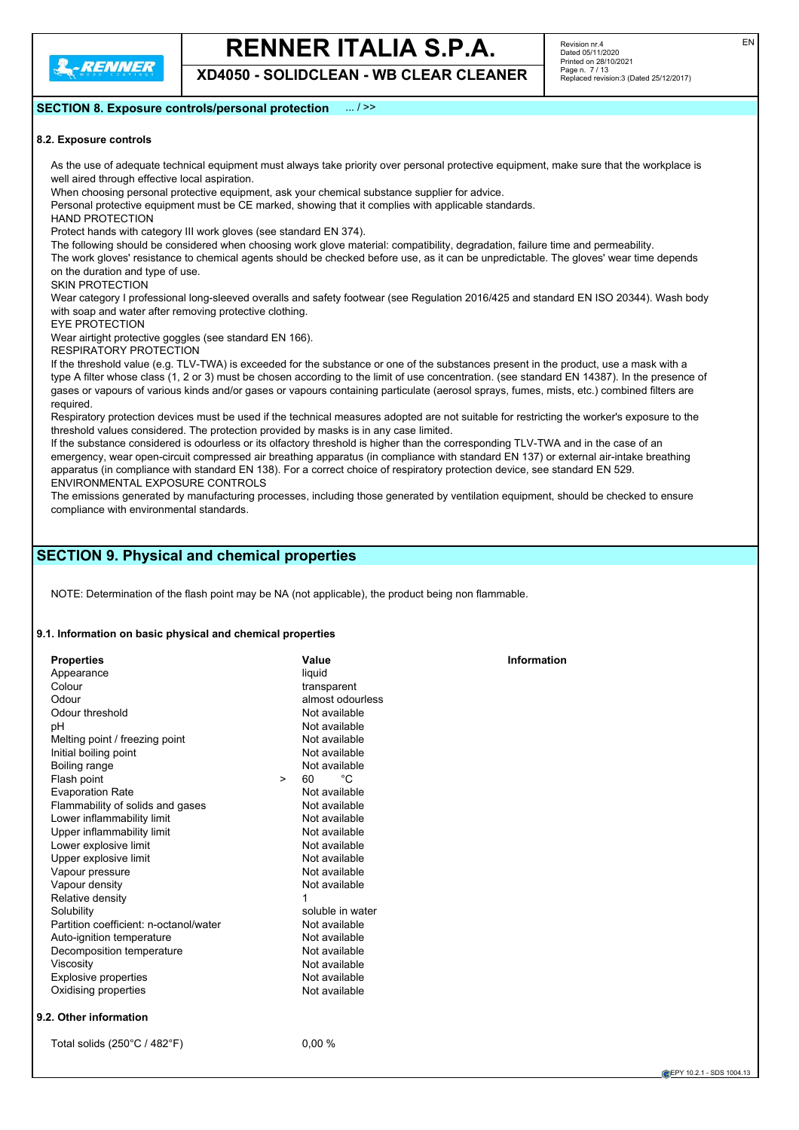

**XD4050 - SOLIDCLEAN - WB CLEAR CLEANER**

# **SECTION 8. Exposure controls/personal protection** ... / >>

# **8.2. Exposure controls**

As the use of adequate technical equipment must always take priority over personal protective equipment, make sure that the workplace is well aired through effective local aspiration.

When choosing personal protective equipment, ask your chemical substance supplier for advice.

Personal protective equipment must be CE marked, showing that it complies with applicable standards.

HAND PROTECTION

Protect hands with category III work gloves (see standard EN 374).

The following should be considered when choosing work glove material: compatibility, degradation, failure time and permeability.

The work gloves' resistance to chemical agents should be checked before use, as it can be unpredictable. The gloves' wear time depends on the duration and type of use.

SKIN PROTECTION

Wear category I professional long-sleeved overalls and safety footwear (see Regulation 2016/425 and standard EN ISO 20344). Wash body with soap and water after removing protective clothing.

EYE PROTECTION Wear airtight protective goggles (see standard EN 166).

RESPIRATORY PROTECTION

If the threshold value (e.g. TLV-TWA) is exceeded for the substance or one of the substances present in the product, use a mask with a type A filter whose class (1, 2 or 3) must be chosen according to the limit of use concentration. (see standard EN 14387). In the presence of gases or vapours of various kinds and/or gases or vapours containing particulate (aerosol sprays, fumes, mists, etc.) combined filters are required.

Respiratory protection devices must be used if the technical measures adopted are not suitable for restricting the worker's exposure to the threshold values considered. The protection provided by masks is in any case limited.

If the substance considered is odourless or its olfactory threshold is higher than the corresponding TLV-TWA and in the case of an emergency, wear open-circuit compressed air breathing apparatus (in compliance with standard EN 137) or external air-intake breathing apparatus (in compliance with standard EN 138). For a correct choice of respiratory protection device, see standard EN 529. ENVIRONMENTAL EXPOSURE CONTROLS

The emissions generated by manufacturing processes, including those generated by ventilation equipment, should be checked to ensure compliance with environmental standards.

# **SECTION 9. Physical and chemical properties**

NOTE: Determination of the flash point may be NA (not applicable), the product being non flammable.

### **9.1. Information on basic physical and chemical properties**

| <b>Properties</b><br>Appearance<br>Colour<br>Odour<br>Odour threshold                     | Value<br>liquid<br>transparent<br>almost odourless<br>Not available | <b>Information</b> |
|-------------------------------------------------------------------------------------------|---------------------------------------------------------------------|--------------------|
| pH<br>Melting point / freezing point<br>Initial boiling point                             | Not available<br>Not available<br>Not available                     |                    |
| Boiling range<br>Flash point                                                              | Not available<br>°C<br>60<br>$\geq$                                 |                    |
| <b>Evaporation Rate</b><br>Flammability of solids and gases<br>Lower inflammability limit | Not available<br>Not available<br>Not available                     |                    |
| Upper inflammability limit<br>Lower explosive limit<br>Upper explosive limit              | Not available<br>Not available<br>Not available                     |                    |
| Vapour pressure<br>Vapour density<br>Relative density                                     | Not available<br>Not available<br>1                                 |                    |
| Solubility<br>Partition coefficient: n-octanol/water                                      | soluble in water<br>Not available                                   |                    |
| Auto-ignition temperature<br>Decomposition temperature<br>Viscosity                       | Not available<br>Not available<br>Not available                     |                    |
| <b>Explosive properties</b><br>Oxidising properties                                       | Not available<br>Not available                                      |                    |
| 9.2. Other information                                                                    |                                                                     |                    |
| Total solids $(250^{\circ}C / 482^{\circ}F)$                                              | 0.00%                                                               |                    |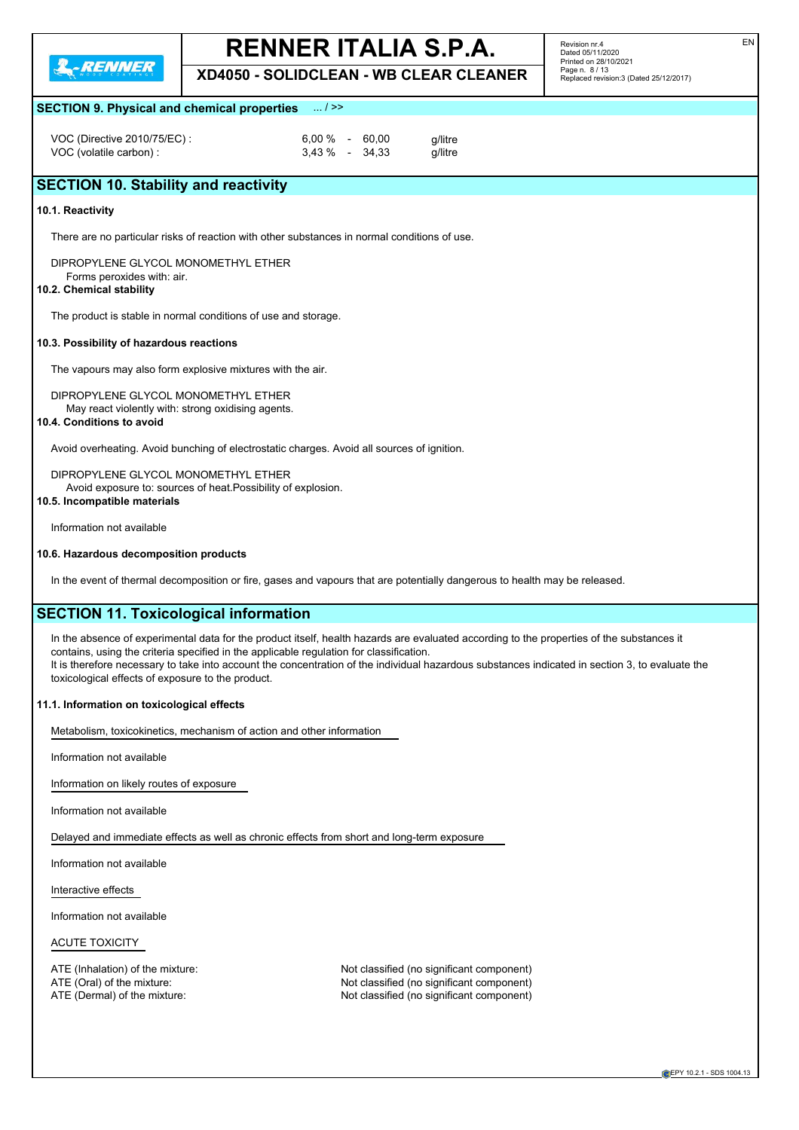

**XD4050 - SOLIDCLEAN - WB CLEAR CLEANER**

Revision nr.4 Dated 05/11/2020 Printed on 28/10/2021 Page n. 8 / 13 Replaced revision:3 (Dated 25/12/2017)

# **SECTION 9. Physical and chemical properties** ... / >>

VOC (Directive 2010/75/EC) : 6,00 % - 60,00 g/litre<br>VOC (volatile carbon) : 6,00 % - 34,33 g/litre VOC (volatile carbon) :

# **SECTION 10. Stability and reactivity**

### **10.1. Reactivity**

There are no particular risks of reaction with other substances in normal conditions of use.

DIPROPYLENE GLYCOL MONOMETHYL ETHER Forms peroxides with: air.

### **10.2. Chemical stability**

The product is stable in normal conditions of use and storage.

### **10.3. Possibility of hazardous reactions**

The vapours may also form explosive mixtures with the air.

DIPROPYLENE GLYCOL MONOMETHYL ETHER May react violently with: strong oxidising agents.

### **10.4. Conditions to avoid**

Avoid overheating. Avoid bunching of electrostatic charges. Avoid all sources of ignition.

DIPROPYLENE GLYCOL MONOMETHYL ETHER Avoid exposure to: sources of heat.Possibility of explosion. **10.5. Incompatible materials**

Information not available

# **10.6. Hazardous decomposition products**

In the event of thermal decomposition or fire, gases and vapours that are potentially dangerous to health may be released.

# **SECTION 11. Toxicological information**

In the absence of experimental data for the product itself, health hazards are evaluated according to the properties of the substances it contains, using the criteria specified in the applicable regulation for classification. It is therefore necessary to take into account the concentration of the individual hazardous substances indicated in section 3, to evaluate the toxicological effects of exposure to the product.

### **11.1. Information on toxicological effects**

Metabolism, toxicokinetics, mechanism of action and other information

Information not available

Information on likely routes of exposure

Information not available

Delayed and immediate effects as well as chronic effects from short and long-term exposure

Information not available

Interactive effects

Information not available

ACUTE TOXICITY

ATE (Inhalation) of the mixture: Not classified (no significant component) ATE (Oral) of the mixture:<br>ATE (Dermal) of the mixture: Not classified (no significant component)<br>Not classified (no significant component) Not classified (no significant component)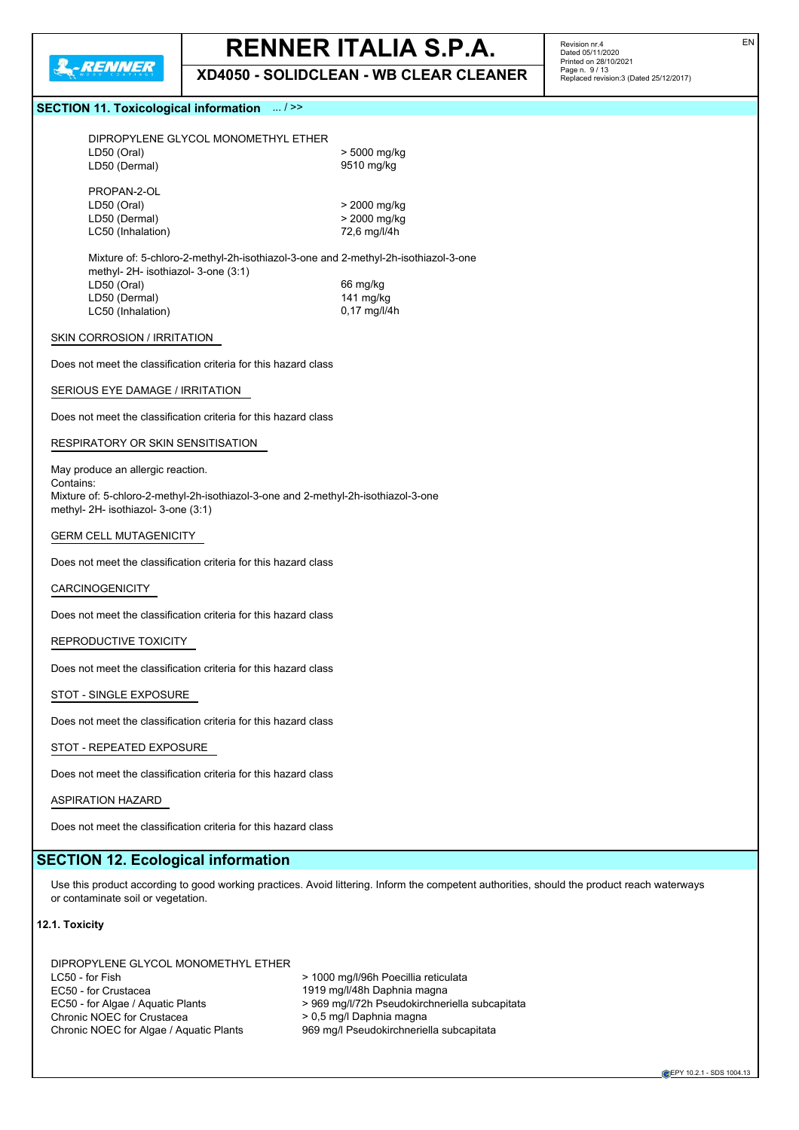

**XD4050 - SOLIDCLEAN - WB CLEAR CLEANER**

Revision nr.4 Dated 05/11/2020 Printed on 28/10/2021 Page n. 9 / 13 Replaced revision:3 (Dated 25/12/2017)

# **SECTION 11. Toxicological information** ... / >>

| DIPROPYLENE GLYCOL MONOMETHYL ETHER                                                |              |
|------------------------------------------------------------------------------------|--------------|
| LD50 (Oral)                                                                        | > 5000 mg/kg |
| LD50 (Dermal)                                                                      | 9510 mg/kg   |
|                                                                                    |              |
| PROPAN-2-OL                                                                        |              |
| LD50 (Oral)                                                                        | > 2000 mg/kg |
| LD50 (Dermal)                                                                      | > 2000 mg/kg |
| LC50 (Inhalation)                                                                  | 72,6 mg/l/4h |
|                                                                                    |              |
| Mixture of: 5-chloro-2-methyl-2h-isothiazol-3-one and 2-methyl-2h-isothiazol-3-one |              |
| methyl- 2H- isothiazol- 3-one (3:1)                                                |              |

methyl- 2H- isothiazol- 3-one (3:1) LD50 (Oral) 66 mg/kg LD50 (Dermal) 141 mg/kg LC50 (Inhalation) 0,17 mg/l/4h

## SKIN CORROSION / IRRITATION

Does not meet the classification criteria for this hazard class

#### SERIOUS EYE DAMAGE / IRRITATION

Does not meet the classification criteria for this hazard class

#### RESPIRATORY OR SKIN SENSITISATION

May produce an allergic reaction. Contains: Mixture of: 5-chloro-2-methyl-2h-isothiazol-3-one and 2-methyl-2h-isothiazol-3-one methyl- 2H- isothiazol- 3-one (3:1)

# GERM CELL MUTAGENICITY

Does not meet the classification criteria for this hazard class

# CARCINOGENICITY

Does not meet the classification criteria for this hazard class

### REPRODUCTIVE TOXICITY

Does not meet the classification criteria for this hazard class

# STOT - SINGLE EXPOSURE

Does not meet the classification criteria for this hazard class

### STOT - REPEATED EXPOSURE

Does not meet the classification criteria for this hazard class

# ASPIRATION HAZARD

Does not meet the classification criteria for this hazard class

# **SECTION 12. Ecological information**

Use this product according to good working practices. Avoid littering. Inform the competent authorities, should the product reach waterways or contaminate soil or vegetation.

# **12.1. Toxicity**

| DIPROPYLENE GLYCOL MONOMETHYL ETHER     |                                                |
|-----------------------------------------|------------------------------------------------|
| LC50 - for Fish                         | > 1000 mg/l/96h Poecillia reticulata           |
| EC50 - for Crustacea                    | 1919 mg/l/48h Daphnia magna                    |
| EC50 - for Algae / Aguatic Plants       | > 969 mg/l/72h Pseudokirchneriella subcapitata |
| Chronic NOEC for Crustacea              | > 0.5 mg/l Daphnia magna                       |
| Chronic NOEC for Algae / Aquatic Plants | 969 mg/l Pseudokirchneriella subcapitata       |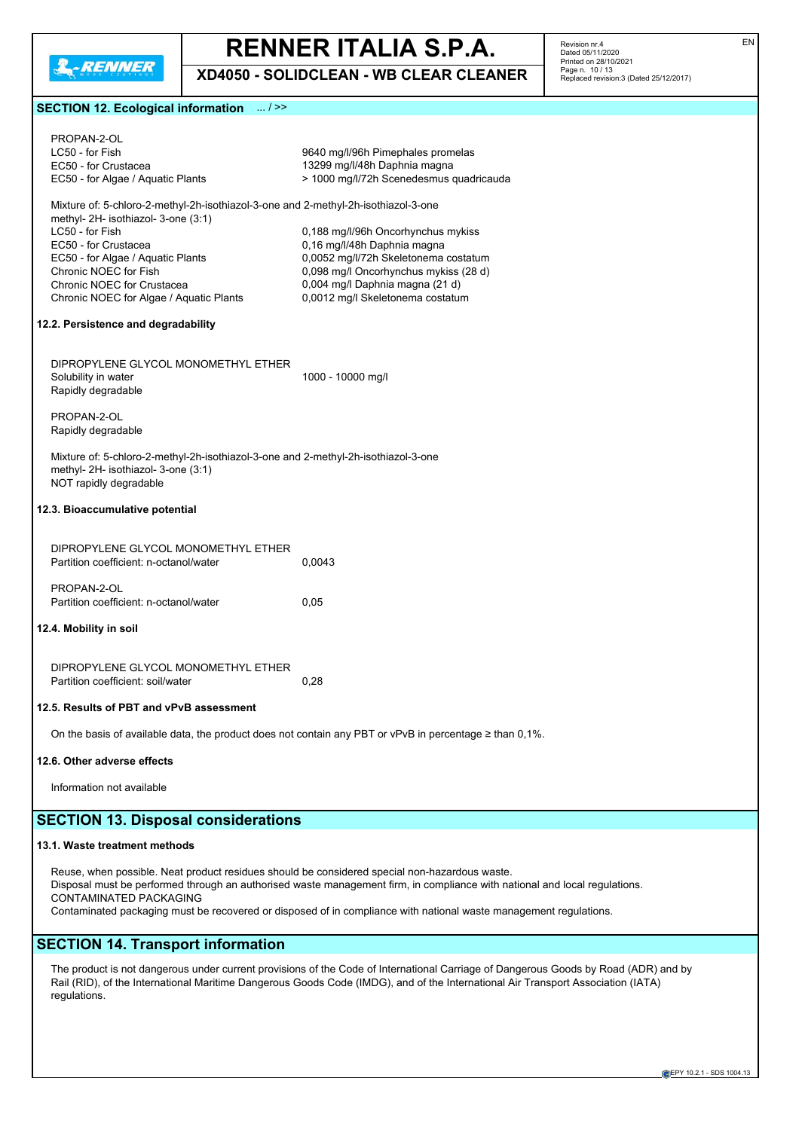

**XD4050 - SOLIDCLEAN - WB CLEAR CLEANER**

Revision nr.4 Dated 05/11/2020 Printed on 28/10/2021 Page n. 10 / 13 Replaced revision:3 (Dated 25/12/2017)

# **SECTION 12. Ecological information** ... / >>

| PROPAN-2-OL<br>LC50 - for Fish<br>EC50 - for Crustacea                                                                                              | 9640 mg/l/96h Pimephales promelas<br>13299 mg/l/48h Daphnia magna                                                          |
|-----------------------------------------------------------------------------------------------------------------------------------------------------|----------------------------------------------------------------------------------------------------------------------------|
| EC50 - for Algae / Aquatic Plants                                                                                                                   | > 1000 mg/l/72h Scenedesmus quadricauda                                                                                    |
| Mixture of: 5-chloro-2-methyl-2h-isothiazol-3-one and 2-methyl-2h-isothiazol-3-one<br>methyl- 2H- isothiazol- 3-one (3:1)                           |                                                                                                                            |
| LC50 - for Fish                                                                                                                                     | 0,188 mg/l/96h Oncorhynchus mykiss                                                                                         |
| EC50 - for Crustacea<br>EC50 - for Algae / Aquatic Plants                                                                                           | 0,16 mg/l/48h Daphnia magna<br>0,0052 mg/l/72h Skeletonema costatum                                                        |
| Chronic NOEC for Fish                                                                                                                               | 0,098 mg/l Oncorhynchus mykiss (28 d)                                                                                      |
| Chronic NOEC for Crustacea<br>Chronic NOEC for Algae / Aquatic Plants                                                                               | 0,004 mg/l Daphnia magna (21 d)<br>0,0012 mg/l Skeletonema costatum                                                        |
| 12.2. Persistence and degradability                                                                                                                 |                                                                                                                            |
| DIPROPYLENE GLYCOL MONOMETHYL ETHER                                                                                                                 |                                                                                                                            |
| Solubility in water                                                                                                                                 | 1000 - 10000 mg/l                                                                                                          |
| Rapidly degradable                                                                                                                                  |                                                                                                                            |
| PROPAN-2-OL<br>Rapidly degradable                                                                                                                   |                                                                                                                            |
| Mixture of: 5-chloro-2-methyl-2h-isothiazol-3-one and 2-methyl-2h-isothiazol-3-one<br>methyl- 2H- isothiazol- 3-one (3:1)<br>NOT rapidly degradable |                                                                                                                            |
| 12.3. Bioaccumulative potential                                                                                                                     |                                                                                                                            |
| DIPROPYLENE GLYCOL MONOMETHYL ETHER<br>Partition coefficient: n-octanol/water                                                                       | 0,0043                                                                                                                     |
|                                                                                                                                                     |                                                                                                                            |
| PROPAN-2-OL<br>Partition coefficient: n-octanol/water                                                                                               | 0,05                                                                                                                       |
| 12.4. Mobility in soil                                                                                                                              |                                                                                                                            |
|                                                                                                                                                     |                                                                                                                            |
| DIPROPYLENE GLYCOL MONOMETHYL ETHER<br>Partition coefficient: soil/water                                                                            | 0,28                                                                                                                       |
| 12.5. Results of PBT and vPvB assessment                                                                                                            |                                                                                                                            |
|                                                                                                                                                     | On the basis of available data, the product does not contain any PBT or vPvB in percentage $\geq$ than 0,1%.               |
| 12.6. Other adverse effects                                                                                                                         |                                                                                                                            |
| Information not available                                                                                                                           |                                                                                                                            |
| <b>SECTION 13. Disposal considerations</b>                                                                                                          |                                                                                                                            |
| 13.1. Waste treatment methods                                                                                                                       |                                                                                                                            |
| Reuse, when possible. Neat product residues should be considered special non-hazardous waste.                                                       |                                                                                                                            |
| CONTAMINATED PACKAGING                                                                                                                              | Disposal must be performed through an authorised waste management firm, in compliance with national and local regulations. |

Contaminated packaging must be recovered or disposed of in compliance with national waste management regulations.

# **SECTION 14. Transport information**

The product is not dangerous under current provisions of the Code of International Carriage of Dangerous Goods by Road (ADR) and by Rail (RID), of the International Maritime Dangerous Goods Code (IMDG), and of the International Air Transport Association (IATA) regulations.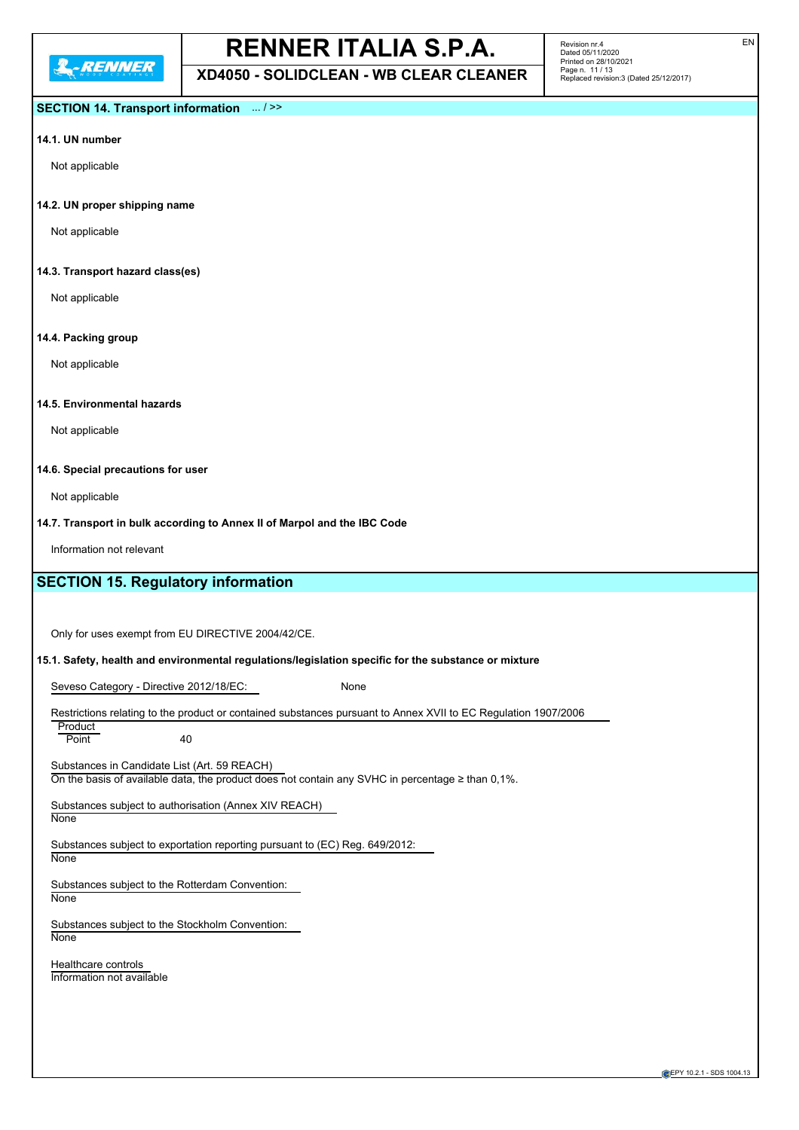**XD4050 - SOLIDCLEAN - WB CLEAR CLEANER**

Revision nr.4 Dated 05/11/2020 Printed on 28/10/2021 Page n. 11 / 13 Replaced revision:3 (Dated 25/12/2017)

# **SECTION 14. Transport information** ... / >>

# **14.1. UN number**

Not applicable

### **14.2. UN proper shipping name**

Not applicable

### **14.3. Transport hazard class(es)**

Not applicable

### **14.4. Packing group**

Not applicable

# **14.5. Environmental hazards**

Not applicable

#### **14.6. Special precautions for user**

Not applicable

# **14.7. Transport in bulk according to Annex II of Marpol and the IBC Code**

Information not relevant

# **SECTION 15. Regulatory information**

Only for uses exempt from EU DIRECTIVE 2004/42/CE.

#### **15.1. Safety, health and environmental regulations/legislation specific for the substance or mixture**

Seveso Category - Directive 2012/18/EC: None

| Restrictions relating to the product or contained substances pursuant to Annex XVII to EC Regulation 1907/2006 |  |
|----------------------------------------------------------------------------------------------------------------|--|

Product Point 40

Substances in Candidate List (Art. 59 REACH) On the basis of available data, the product does not contain any SVHC in percentage  $\geq$  than 0,1%.

Substances subject to authorisation (Annex XIV REACH)

None

Substances subject to exportation reporting pursuant to (EC) Reg. 649/2012:

None

Substances subject to the Rotterdam Convention: None

Substances subject to the Stockholm Convention: **None** 

Healthcare controls Information not available EN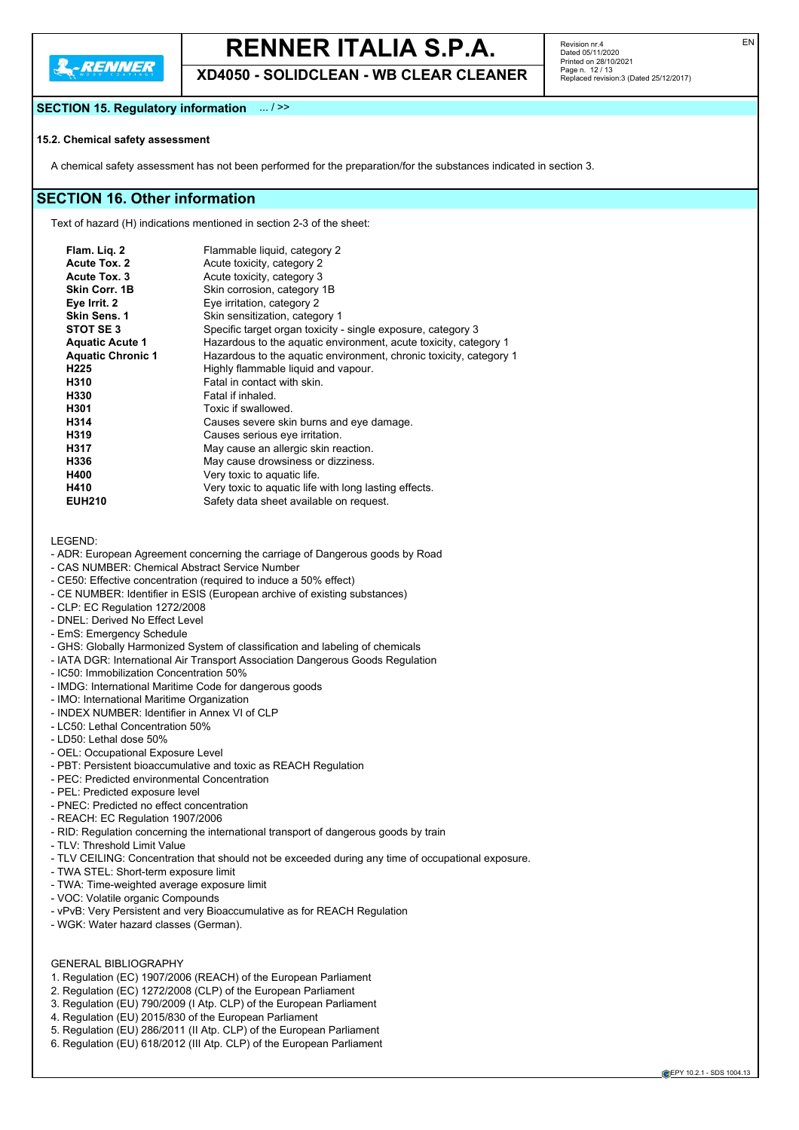**XD4050 - SOLIDCLEAN - WB CLEAR CLEANER**

Revision nr.4 Dated 05/11/2020 Printed on 28/10/2021 Page n. 12 / 13 Replaced revision:3 (Dated 25/12/2017)

# **SECTION 15. Regulatory information** ... / >>

# **15.2. Chemical safety assessment**

A chemical safety assessment has not been performed for the preparation/for the substances indicated in section 3.

# **SECTION 16. Other information**

Text of hazard (H) indications mentioned in section 2-3 of the sheet:

| Flam. Liq. 2             | Flammable liquid, category 2                                       |
|--------------------------|--------------------------------------------------------------------|
| Acute Tox. 2             | Acute toxicity, category 2                                         |
| Acute Tox. 3             | Acute toxicity, category 3                                         |
| Skin Corr. 1B            | Skin corrosion, category 1B                                        |
| Eye Irrit. 2             | Eye irritation, category 2                                         |
| <b>Skin Sens. 1</b>      | Skin sensitization, category 1                                     |
| STOT SE 3                | Specific target organ toxicity - single exposure, category 3       |
| <b>Aquatic Acute 1</b>   | Hazardous to the aquatic environment, acute toxicity, category 1   |
| <b>Aquatic Chronic 1</b> | Hazardous to the aquatic environment, chronic toxicity, category 1 |
| H225                     | Highly flammable liquid and vapour.                                |
| H310                     | Fatal in contact with skin.                                        |
| H330                     | Fatal if inhaled.                                                  |
| H301                     | Toxic if swallowed.                                                |
| H314                     | Causes severe skin burns and eye damage.                           |
| H319                     | Causes serious eye irritation.                                     |
| H317                     | May cause an allergic skin reaction.                               |
| H336                     | May cause drowsiness or dizziness.                                 |
| H400                     | Very toxic to aquatic life.                                        |
| H410                     | Very toxic to aquatic life with long lasting effects.              |
| <b>EUH210</b>            | Safety data sheet available on request.                            |
|                          |                                                                    |

LEGEND:

- ADR: European Agreement concerning the carriage of Dangerous goods by Road
- CAS NUMBER: Chemical Abstract Service Number
- CE50: Effective concentration (required to induce a 50% effect)
- CE NUMBER: Identifier in ESIS (European archive of existing substances)
- CLP: EC Regulation 1272/2008
- DNEL: Derived No Effect Level
- EmS: Emergency Schedule
- GHS: Globally Harmonized System of classification and labeling of chemicals
- IATA DGR: International Air Transport Association Dangerous Goods Regulation
- IC50: Immobilization Concentration 50%
- IMDG: International Maritime Code for dangerous goods
- IMO: International Maritime Organization
- INDEX NUMBER: Identifier in Annex VI of CLP
- LC50: Lethal Concentration 50%
- LD50: Lethal dose 50%
- OEL: Occupational Exposure Level
- PBT: Persistent bioaccumulative and toxic as REACH Regulation
- PEC: Predicted environmental Concentration
- PEL: Predicted exposure level
- PNEC: Predicted no effect concentration
- REACH: EC Regulation 1907/2006
- RID: Regulation concerning the international transport of dangerous goods by train
- TLV: Threshold Limit Value
- TLV CEILING: Concentration that should not be exceeded during any time of occupational exposure.
- TWA STEL: Short-term exposure limit
- TWA: Time-weighted average exposure limit
- VOC: Volatile organic Compounds
- vPvB: Very Persistent and very Bioaccumulative as for REACH Regulation
- WGK: Water hazard classes (German).

# GENERAL BIBLIOGRAPHY

- 1. Regulation (EC) 1907/2006 (REACH) of the European Parliament
- 2. Regulation (EC) 1272/2008 (CLP) of the European Parliament
- 3. Regulation (EU) 790/2009 (I Atp. CLP) of the European Parliament
- 4. Regulation (EU) 2015/830 of the European Parliament
- 5. Regulation (EU) 286/2011 (II Atp. CLP) of the European Parliament
- 6. Regulation (EU) 618/2012 (III Atp. CLP) of the European Parliament